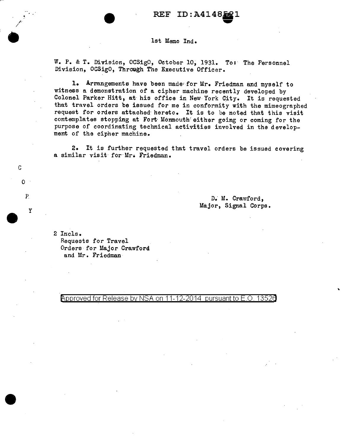1st Memo Ind.

W. P. & T. Division, OCSigO, October 10, 1931. To: The Personnel Division, OCSigO, Through The Executive Officer.

1. Arnangements have been made for Mr. Friedman and myself to witness a demonstration of a cipher machine recently developed by Colonel Parker Hitt, at· his office in New York City. It is requested that travel orders be issued for me in conformity with the mimeographed request for orders attached hereto. It is to be noted that this visit contemplates stopping at Fort Monmouth either going or coming for the purpose of coordinating technical activities involved in the development of the cipher machine.

2. It is further requested that travel orders be issued covering a similar visit for Mr• Friedman.

> D; M. Crawford, Major, Signal Corps.

2 Incls. Requests for Travel Orders for Major Crawford and Mr. Friedman

/·· /

•

c

 $0$ .

P.

y

 $\spadesuit$ pproved for Release by NSA on 11-12-2014 pursuant to E.O. 13526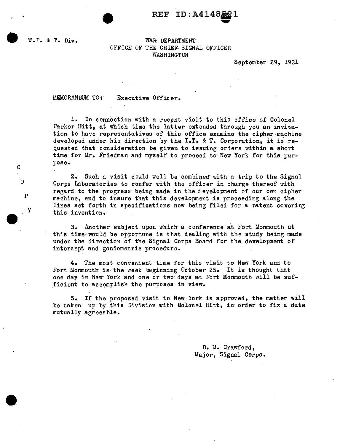$REF$   $ID:$   $A414$ 

c

0

p

y

## W.P. & T. Div. WAR DEPARTMENT OFFICE OF THE CHIEF SIGNAL OFFICER WASHINGTON

September 29, 1931

MEMORANDUM TO s .Executive Officer.

1. In connection with a recent· visit to this office of Colonel Parker Hitt, at which time the latter extended through you an invitation to have representatives of this office examine the cipher-machine developed under his direction by the I.T. & T. Corporation, it is requested that consideration be given to issuing orders within a short time for·Mr. Friedman and myself to proceed to· New York for this purpose.

2. Such a visit could well be combined with a trip to the Signal Corps Laboratories to confer with the officer in charge thereof with regard to the progress being made in the development of our own cipher machine, and to insure that this development is proceeding along the lines set forth in specifications now being filed for a patent covering this invention.

3. Another subject upon which a conference at· Fort Monmouth at this time would be opportune is that dealing with the study being made under the direction of the Signal Corps Board for the development of intercept and goniometric procedure.

4. The most convenient time for this visit to Nevi York and to Fort Monmouth is the week beginning October 25. It is thought that one day in New York and one or two· days at Fort Monmouth will be sufficient to accomplish the purposes in view.

5. If the proposed visit to New York is approved, the matter will be taken up by this Division with Colonel Hitt, in order to fix a date mutually agreeable.

> <sup>D</sup>'e M. Crawford, Major, Signal Corps.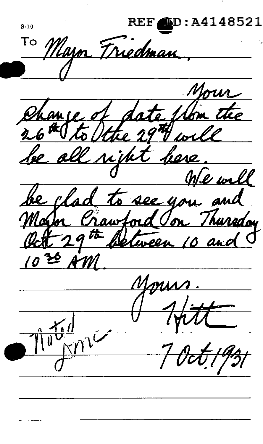**REF** :A414852 1  $S-10$ Triedman <u>Wayn</u> Change of date from the be al here. <u>vih</u>  $M$ be clad to see you and Major Crawford Oon Thursday Oct 29 th Detween 10 and  $\frac{1}{10}$  $\overline{\mathbf{1}}$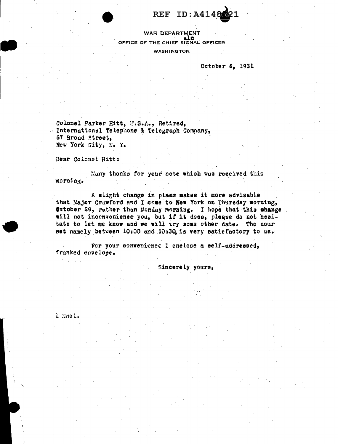REF ID:A4148

**WAR DEPARTMENT** a î n OFFICE OF THE CHIEF SIGNAL OFFICER

**WASHINGTON** 

October 6. 1931

Colonel Parker Hitt, U.S.A., Retired, International Telephone & Telegraph Company, 67 Broad Street. New York Citv. N. Y.

Dear Colonel Hitt:

Many thanks for your note which was received this morning.

A slight change in plans makes it more advisable that Major Crawford and I come to New York on Thursday morning, Sctober 29, rather than Monday morning. I hope that this change will not inconvenience you, but if it does, please do not hesitate to let me know and we will try some other date. The hour set namely between 10:00 and 10:30 is very satisfactory to us.

For your convenience I enclose a self-addressed, franked envelope.

Sincerely yours,

1 Encl.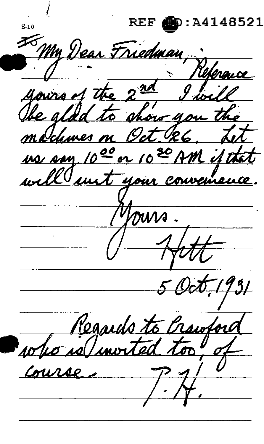**REF**  $\bullet$  : A4148521  $S-10$ My Dear Friedman,  $\overline{\text{ad}}$ yours of the  $9\frac{1}{102}$ ahow 40 The alda  $t_{\rm 1D}$ modumes on Oct 126  $7$ us san 1000 or 1020 AM if the well unt your convenience  $7931$ Regards to Crawton Lo re/invite Course